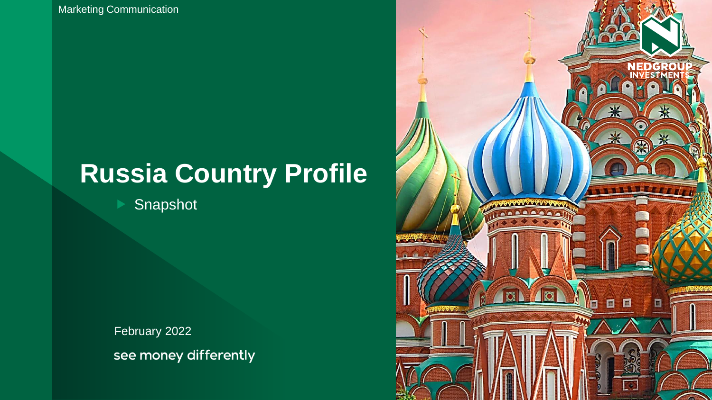Marketing Communication

# **Russia Country Profile**

Snapshot

February 2022 see money differently

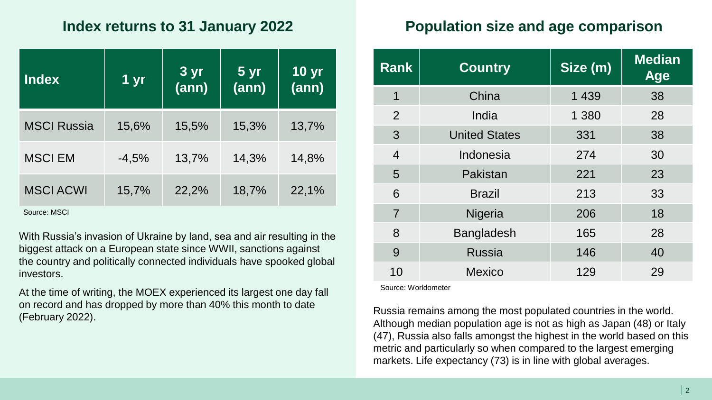### **Index returns to 31 January 2022**

| <b>Index</b>       | 1 yr    | 3 yr<br>(ann) | 5 <sub>yr</sub><br>(ann) | <b>10 yr</b><br>(ann) |
|--------------------|---------|---------------|--------------------------|-----------------------|
| <b>MSCI Russia</b> | 15,6%   | 15,5%         | 15,3%                    | 13,7%                 |
| <b>MSCI EM</b>     | $-4,5%$ | 13,7%         | 14,3%                    | 14,8%                 |
| <b>MSCI ACWI</b>   | 15,7%   | 22,2%         | 18,7%                    | 22,1%                 |

Source: MSCI

With Russia's invasion of Ukraine by land, sea and air resulting in the biggest attack on a European state since WWII, sanctions against the country and politically connected individuals have spooked global investors.

At the time of writing, the MOEX experienced its largest one day fall on record and has dropped by more than 40% this month to date (February 2022).

## **Population size and age comparison**

| <b>Rank</b>    | <b>Country</b>       | Size (m) | <b>Median</b><br>Age |
|----------------|----------------------|----------|----------------------|
| 1              | China                | 1 4 3 9  | 38                   |
| 2              | India                | 1 3 8 0  | 28                   |
| 3              | <b>United States</b> | 331      | 38                   |
| $\overline{4}$ | Indonesia            | 274      | 30                   |
| 5              | Pakistan             | 221      | 23                   |
| 6              | <b>Brazil</b>        | 213      | 33                   |
| $\overline{7}$ | Nigeria              | 206      | 18                   |
| 8              | <b>Bangladesh</b>    | 165      | 28                   |
| 9              | <b>Russia</b>        | 146      | 40                   |
| 10             | <b>Mexico</b>        | 129      | 29                   |

Source: Worldometer

Russia remains among the most populated countries in the world. Although median population age is not as high as Japan (48) or Italy (47), Russia also falls amongst the highest in the world based on this metric and particularly so when compared to the largest emerging markets. Life expectancy (73) is in line with global averages.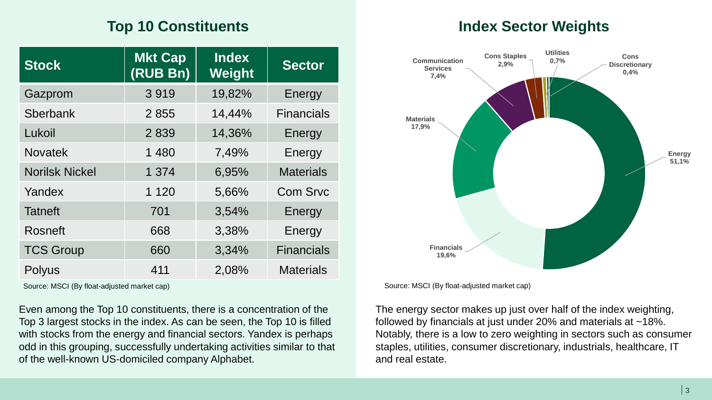# **Top 10 Constituents**

| <b>Stock</b>          | <b>Mkt Cap</b><br>(RUB Bn) | <b>Index</b><br>Weight | <b>Sector</b>     |
|-----------------------|----------------------------|------------------------|-------------------|
| Gazprom               | 3919                       | 19,82%                 | Energy            |
| Sberbank              | 2855                       | 14,44%                 | <b>Financials</b> |
| Lukoil                | 2839                       | 14,36%                 | Energy            |
| <b>Novatek</b>        | 1 4 8 0                    | 7,49%                  | Energy            |
| <b>Norilsk Nickel</b> | 1 3 7 4                    | 6,95%                  | <b>Materials</b>  |
| Yandex                | 1 1 2 0                    | 5,66%                  | <b>Com Srvc</b>   |
| <b>Tatneft</b>        | 701                        | 3,54%                  | Energy            |
| <b>Rosneft</b>        | 668                        | 3,38%                  | Energy            |
| <b>TCS Group</b>      | 660                        | 3,34%                  | <b>Financials</b> |
| <b>Polyus</b>         | 411                        | 2,08%                  | <b>Materials</b>  |

Source: MSCI (By float-adjusted market cap) Source: MSCI (By float-adjusted market cap)

Even among the Top 10 constituents, there is a concentration of the Top 3 largest stocks in the index. As can be seen, the Top 10 is filled with stocks from the energy and financial sectors. Yandex is perhaps odd in this grouping, successfully undertaking activities similar to that of the well-known US-domiciled company Alphabet.

### **Index Sector Weights**



The energy sector makes up just over half of the index weighting, followed by financials at just under 20% and materials at ~18%. Notably, there is a low to zero weighting in sectors such as consumer staples, utilities, consumer discretionary, industrials, healthcare, IT and real estate.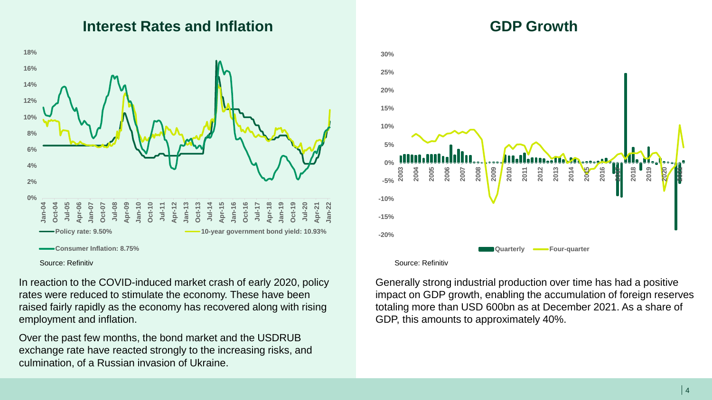#### **Interest Rates and Inflation GDP Growth**



Source: Refinitiv

In reaction to the COVID-induced market crash of early 2020, policy rates were reduced to stimulate the economy. These have been raised fairly rapidly as the economy has recovered along with rising employment and inflation.

Over the past few months, the bond market and the USDRUB exchange rate have reacted strongly to the increasing risks, and culmination, of a Russian invasion of Ukraine.



Source: Refinitiv

Generally strong industrial production over time has had a positive impact on GDP growth, enabling the accumulation of foreign reserves totaling more than USD 600bn as at December 2021. As a share of GDP, this amounts to approximately 40%.